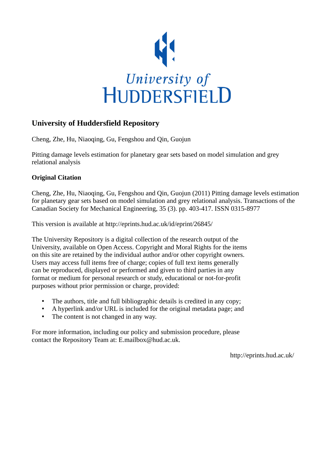

# **University of Huddersfield Repository**

Cheng, Zhe, Hu, Niaoqing, Gu, Fengshou and Qin, Guojun

Pitting damage levels estimation for planetary gear sets based on model simulation and grey relational analysis

# **Original Citation**

Cheng, Zhe, Hu, Niaoqing, Gu, Fengshou and Qin, Guojun (2011) Pitting damage levels estimation for planetary gear sets based on model simulation and grey relational analysis. Transactions of the Canadian Society for Mechanical Engineering, 35 (3). pp. 403-417. ISSN 0315-8977

This version is available at http://eprints.hud.ac.uk/id/eprint/26845/

The University Repository is a digital collection of the research output of the University, available on Open Access. Copyright and Moral Rights for the items on this site are retained by the individual author and/or other copyright owners. Users may access full items free of charge; copies of full text items generally can be reproduced, displayed or performed and given to third parties in any format or medium for personal research or study, educational or not-for-profit purposes without prior permission or charge, provided:

- The authors, title and full bibliographic details is credited in any copy;
- A hyperlink and/or URL is included for the original metadata page; and
- The content is not changed in any way.

For more information, including our policy and submission procedure, please contact the Repository Team at: E.mailbox@hud.ac.uk.

http://eprints.hud.ac.uk/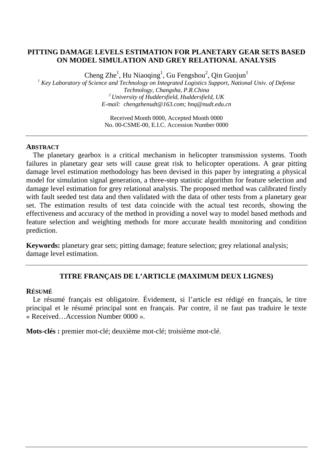# **PITTING DAMAGE LEVELS ESTIMATION FOR PLANETARY GEAR SETS BASED ON MODEL SIMULATION AND GREY RELATIONAL ANALYSIS**

Cheng Zhe<sup>1</sup>, Hu Niaoqing<sup>1</sup>, Gu Fengshou<sup>2</sup>, Qin Guojun<sup>1</sup>

*<sup>1</sup> Key Laboratory of Science and Technology on Integrated Logistics Support, National Univ. of Defense Technology, Changsha, P.R.China <sup>2</sup> University of Huddersfield, Huddersfield, UK E-mail: chengzhenudt@163.com; hnq@nudt.edu.cn*

> Received Month 0000, Accepted Month 0000 No. 00-CSME-00, E.I.C. Accession Number 0000

## **ABSTRACT**

The planetary gearbox is a critical mechanism in helicopter transmission systems. Tooth failures in planetary gear sets will cause great risk to helicopter operations. A gear pitting damage level estimation methodology has been devised in this paper by integrating a physical model for simulation signal generation, a three-step statistic algorithm for feature selection and damage level estimation for grey relational analysis. The proposed method was calibrated firstly with fault seeded test data and then validated with the data of other tests from a planetary gear set. The estimation results of test data coincide with the actual test records, showing the effectiveness and accuracy of the method in providing a novel way to model based methods and feature selection and weighting methods for more accurate health monitoring and condition prediction.

**Keywords:** planetary gear sets; pitting damage; feature selection; grey relational analysis; damage level estimation.

# **TITRE FRANÇAIS DE L'ARTICLE (MAXIMUM DEUX LIGNES)**

## **RÉSUMÉ**

Le résumé français est obligatoire. Évidement, si l'article est rédigé en français, le titre principal et le résumé principal sont en français. Par contre, il ne faut pas traduire le texte « Received…Accession Number 0000 ».

**Mots-clés :** premier mot-clé; deuxième mot-clé; troisième mot-clé.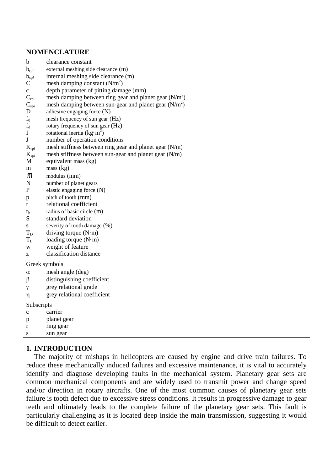# **NOMENCLATURE**

| $\mathbf b$        | clearance constant                                      |  |  |  |
|--------------------|---------------------------------------------------------|--|--|--|
| $b_{\mathrm{rpi}}$ | external meshing side clearance (m)                     |  |  |  |
| $b_{\mathrm{spl}}$ | internal meshing side clearance (m)                     |  |  |  |
| $\mathsf{C}$       | mesh damping constant $(N/m2)$                          |  |  |  |
| $\mathbf c$        | depth parameter of pitting damage (mm)                  |  |  |  |
| $C_{\text{rp}i}$   | mesh damping between ring gear and planet gear $(N/m2)$ |  |  |  |
| $C_{\text{sp}i}$   | mesh damping between sun-gear and planet gear $(N/m2)$  |  |  |  |
| D                  | adhesive engaging force (N)                             |  |  |  |
| $f_0$              | mesh frequency of sun gear (Hz)                         |  |  |  |
| $f_d$              | rotary frequency of sun gear (Hz)                       |  |  |  |
| I                  | rotational inertia ( $kg·m2$ )                          |  |  |  |
| J                  | number of operation conditions                          |  |  |  |
| $K_{\text{rpi}}$   | mesh stiffness between ring gear and planet gear (N/m)  |  |  |  |
| $K_{\text{spl}}$   | mesh stiffness between sun-gear and planet gear (N/m)   |  |  |  |
| M                  | equivalent mass (kg)                                    |  |  |  |
| m                  | mass (kg)                                               |  |  |  |
| $\bar{m}$          | modulus (mm)                                            |  |  |  |
| $\mathbf N$        | number of planet gears                                  |  |  |  |
| ${\bf P}$          | elastic engaging force $(N)$                            |  |  |  |
| p                  | pitch of tooth (mm)                                     |  |  |  |
| $\mathbf r$        | relational coefficient                                  |  |  |  |
| $r_{\rm b}$        | radius of basic circle (m)                              |  |  |  |
| S                  | standard deviation                                      |  |  |  |
| S                  | severity of tooth damage $(\%)$                         |  |  |  |
| $T_D$              | driving torque $(N \cdot m)$                            |  |  |  |
| $T_{L}$            | loading torque (N·m)                                    |  |  |  |
| W                  | weight of feature                                       |  |  |  |
| Z                  | classification distance                                 |  |  |  |
| Greek symbols      |                                                         |  |  |  |
|                    |                                                         |  |  |  |
| $\alpha$           | mesh angle (deg)                                        |  |  |  |
| $\beta$            | distinguishing coefficient                              |  |  |  |
| γ                  | grey relational grade                                   |  |  |  |
| η                  | grey relational coefficient                             |  |  |  |
| Subscripts         |                                                         |  |  |  |
| $\mathbf c$        | carrier                                                 |  |  |  |
| p                  | planet gear                                             |  |  |  |
| $\bf r$            | ring gear                                               |  |  |  |
| S                  | sun gear                                                |  |  |  |

# **1. INTRODUCTION**

The majority of mishaps in helicopters are caused by engine and drive train failures. To reduce these mechanically induced failures and excessive maintenance, it is vital to accurately identify and diagnose developing faults in the mechanical system. Planetary gear sets are common mechanical components and are widely used to transmit power and change speed and/or direction in rotary aircrafts. One of the most common causes of planetary gear sets failure is tooth defect due to excessive stress conditions. It results in progressive damage to gear teeth and ultimately leads to the complete failure of the planetary gear sets. This fault is particularly challenging as it is located deep inside the main transmission, suggesting it would be difficult to detect earlier.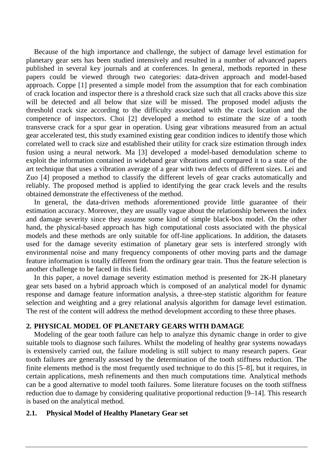Because of the high importance and challenge, the subject of damage level estimation for planetary gear sets has been studied intensively and resulted in a number of advanced papers published in several key journals and at conferences. In general, methods reported in these papers could be viewed through two categories: data-driven approach and model-based approach. Coppe [1] presented a simple model from the assumption that for each combination of crack location and inspector there is a threshold crack size such that all cracks above this size will be detected and all below that size will be missed. The proposed model adjusts the threshold crack size according to the difficulty associated with the crack location and the competence of inspectors. Choi [2] developed a method to estimate the size of a tooth transverse crack for a spur gear in operation. Using gear vibrations measured from an actual gear accelerated test, this study examined existing gear condition indices to identify those which correlated well to crack size and established their utility for crack size estimation through index fusion using a neural network. Ma [3] developed a model-based demodulation scheme to exploit the information contained in wideband gear vibrations and compared it to a state of the art technique that uses a vibration average of a gear with two defects of different sizes. Lei and Zuo [4] proposed a method to classify the different levels of gear cracks automatically and reliably. The proposed method is applied to identifying the gear crack levels and the results obtained demonstrate the effectiveness of the method.

In general, the data-driven methods aforementioned provide little guarantee of their estimation accuracy. Moreover, they are usually vague about the relationship between the index and damage severity since they assume some kind of simple black-box model. On the other hand, the physical-based approach has high computational costs associated with the physical models and these methods are only suitable for off-line applications. In addition, the datasets used for the damage severity estimation of planetary gear sets is interfered strongly with environmental noise and many frequency components of other moving parts and the damage feature information is totally different from the ordinary gear train. Thus the feature selection is another challenge to be faced in this field.

In this paper, a novel damage severity estimation method is presented for 2K-H planetary gear sets based on a hybrid approach which is composed of an analytical model for dynamic response and damage feature information analysis, a three-step statistic algorithm for feature selection and weighting and a grey relational analysis algorithm for damage level estimation. The rest of the content will address the method development according to these three phases.

## **2. PHYSICAL MODEL OF PLANETARY GEARS WITH DAMAGE**

Modeling of the gear tooth failure can help to analyze this dynamic change in order to give suitable tools to diagnose such failures. Whilst the modeling of healthy gear systems nowadays is extensively carried out, the failure modeling is still subject to many research papers. Gear tooth failures are generally assessed by the determination of the tooth stiffness reduction. The finite elements method is the most frequently used technique to do this [5–8], but it requires, in certain applications, mesh refinements and then much computations time. Analytical methods can be a good alternative to model tooth failures. Some literature focuses on the tooth stiffness reduction due to damage by considering qualitative proportional reduction [9–14]. This research is based on the analytical method.

## **2.1. Physical Model of Healthy Planetary Gear set**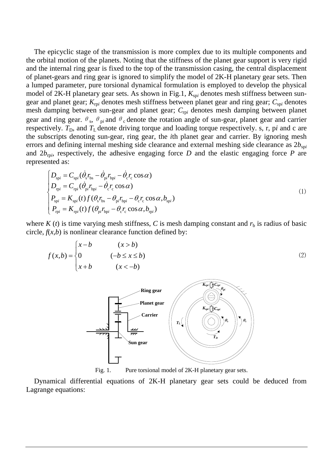The epicyclic stage of the transmission is more complex due to its multiple components and the orbital motion of the planets. Noting that the stiffness of the planet gear support is very rigid and the internal ring gear is fixed to the top of the transmission casing, the central displacement of planet-gears and ring gear is ignored to simplify the model of 2K-H planetary gear sets. Then a lumped parameter, pure torsional dynamical formulation is employed to develop the physical model of 2K-H planetary gear sets. As shown in Fig.1,  $K_{\text{spl}}$  denotes mesh stiffness between sungear and planet gear;  $K_{\text{rpi}}$  denotes mesh stiffness between planet gear and ring gear;  $C_{\text{spi}}$  denotes mesh damping between sun-gear and planet gear;  $C_{\text{rpi}}$  denotes mesh damping between planet gear and ring gear.  $\theta_s$ ,  $\theta_p$ *i* and  $\theta_c$  denote the rotation angle of sun-gear, planet gear and carrier respectively.  $T_D$ , and  $T_L$  denote driving torque and loading torque respectively. s, r, p*i* and c are the subscripts denoting sun-gear, ring gear, the *i*th planet gear and carrier. By ignoring mesh errors and defining internal meshing side clearance and external meshing side clearance as  $2b_{\text{sol}}$ and  $2b_{\text{rpi}}$ , respectively, the adhesive engaging force *D* and the elastic engaging force *P* are represented as:

$$
\begin{cases}\nD_{\rm spi} = C_{\rm spi} (\dot{\theta}_{\rm s} r_{\rm bs} - \dot{\theta}_{\rm pi} r_{\rm bpi} - \dot{\theta}_{\rm c} r_{\rm c} \cos \alpha) \\
D_{\rm rpi} = C_{\rm rpi} (\dot{\theta}_{\rm pi} r_{\rm bpi} - \dot{\theta}_{\rm c} r_{\rm c} \cos \alpha) \\
P_{\rm spi} = K_{\rm spi} (t) f (\theta_{\rm s} r_{\rm bs} - \theta_{\rm pi} r_{\rm bpi} - \theta_{\rm c} r_{\rm c} \cos \alpha, b_{\rm spi}) \\
P_{\rm rpi} = K_{\rm rpi} (t) f (\theta_{\rm pi} r_{\rm bpi} - \theta_{\rm c} r_{\rm c} \cos \alpha, b_{\rm rpi})\n\end{cases} \tag{1}
$$

where  $K(t)$  is time varying mesh stiffness, C is mesh damping constant and  $r<sub>b</sub>$  is radius of basic circle,  $f(x,b)$  is nonlinear clearance function defined by:

$$
f(x,b) = \begin{cases} x-b & (x > b) \\ 0 & (-b \le x \le b) \\ x+b & (x < -b) \end{cases} \tag{2}
$$



Fig. 1. Pure torsional model of 2K-H planetary gear sets.

Dynamical differential equations of 2K-H planetary gear sets could be deduced from Lagrange equations: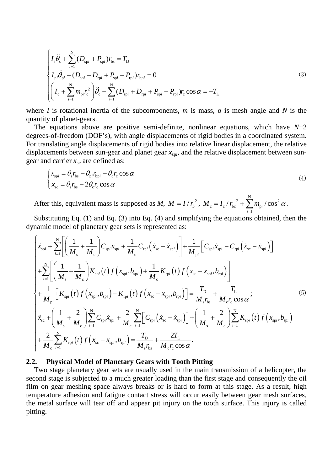$$
\begin{cases}\nI_s \ddot{\theta}_s + \sum_{i=1}^N (D_{\rm spi} + P_{\rm spi}) r_{\rm bs} = T_{\rm D} \\
I_{\rm pi} \ddot{\theta}_{\rm pi} - (D_{\rm spi} - D_{\rm rpi} + P_{\rm spi} - P_{\rm rpi}) r_{\rm bpi} = 0 \\
\left(I_c + \sum_{i=1}^N m_{\rm pi} r_c^2\right) \ddot{\theta}_c - \sum_{i=1}^N (D_{\rm spi} + D_{\rm rpi} + P_{\rm spi} + P_{\rm rpi}) r_c \cos \alpha = -T_{\rm L}\n\end{cases} \tag{3}
$$

where *I* is rotational inertia of the subcomponents, *m* is mass,  $\alpha$  is mesh angle and *N* is the quantity of planet-gears.

The equations above are positive semi-definite, nonlinear equations, which have *N*+2 degrees-of-freedom (DOF's), with angle displacements of rigid bodies in a coordinated system. For translating angle displacements of rigid bodies into relative linear displacement, the relative displacements between sun-gear and planet gear  $x_{\text{spi}}$ , and the relative displacement between sungear and carrier  $x_{sc}$  are defined as:

$$
\begin{cases}\n x_{\rm spi} = \theta_{\rm s} r_{\rm bs} - \theta_{\rm pi} r_{\rm bpi} - \theta_{\rm c} r_{\rm c} \cos \alpha \\
 x_{\rm sc} = \theta_{\rm s} r_{\rm bs} - 2\theta_{\rm c} r_{\rm c} \cos \alpha\n\end{cases} \tag{4}
$$

After this, equivalent mass is supposed as *M*,  $M = I/r_b^2$ ,  $M_c = I_c/r_{bc}^2 + \sum_{p}^{N} m_{pi}/\cos^2 p$  $c = \frac{c}{\cdot}$  bc  $\sum m_p$ 1  $/r_{\rm bc}^{2} + \sum m_{\rm pi}/\cos\theta$ *i*  $M_c = I_c / r_{bc}^2 + \sum m_{pi} / \cos^2 \alpha$  $= I_{\rm c}/r_{\rm bc}^{2} + \sum_{i=1} m_{\rm pi}/\cos^{2} \alpha$ .

Substituting Eq. (1) and Eq. (3) into Eq. (4) and simplifying the equations obtained, then the dynamic model of planetary gear sets is represented as:

$$
\begin{cases}\n\ddot{x}_{\rm spi} + \sum_{i=1}^{N} \left[ \left( \frac{1}{M_{\rm s}} + \frac{1}{M_{\rm c}} \right) C_{\rm spi} \dot{x}_{\rm spi} + \frac{1}{M_{\rm c}} C_{\rm rpi} \left( \dot{x}_{\rm sc} - \dot{x}_{\rm spi} \right) \right] + \frac{1}{M_{\rm pi}} \left[ C_{\rm spi} \dot{x}_{\rm spi} - C_{\rm rpi} \left( \dot{x}_{\rm sc} - \dot{x}_{\rm spi} \right) \right] \\
+ \sum_{i=1}^{N} \left[ \left( \frac{1}{M_{\rm s}} + \frac{1}{M_{\rm c}} \right) K_{\rm spi} \left( t \right) f \left( x_{\rm spi}, b_{\rm spi} \right) + \frac{1}{M_{\rm c}} K_{\rm rpi} \left( t \right) f \left( x_{\rm sc} - x_{\rm spi}, b_{\rm rpi} \right) \right] \\
+ \frac{1}{M_{\rm pi}} \left[ K_{\rm spi} \left( t \right) f \left( x_{\rm spi}, b_{\rm spi} \right) - K_{\rm rpi} \left( t \right) f \left( x_{\rm sc} - x_{\rm spi}, b_{\rm rpi} \right) \right] = \frac{T_{\rm D}}{M_{\rm s} r_{\rm bs}} + \frac{T_{\rm L}}{M_{\rm c} r_{\rm c} \cos \alpha};\n\end{cases} (5)
$$
\n
$$
\ddot{x}_{\rm sc} + \left( \frac{1}{M_{\rm s}} + \frac{2}{M_{\rm c}} \right) \sum_{i=1}^{N} C_{\rm spi} \dot{x}_{\rm spi} + \frac{2}{M_{\rm c}} \sum_{i=1}^{N} \left[ C_{\rm rpi} \left( \dot{x}_{\rm sc} - \dot{x}_{\rm spi} \right) \right] + \left( \frac{1}{M_{\rm s}} + \frac{2}{M_{\rm c}} \right) \sum_{i=1}^{N} K_{\rm spi} \left( t \right) f \left( x_{\rm spi}, b_{\rm spi} \right) \right]
$$
\n
$$
+ \frac{2}{M_{\rm c}} \sum_{i=1}^{N} K_{\rm rpi} \left( t \right) f \left( x_{\rm sc} - x_{\rm spi}, b_{\rm rpi} \
$$

#### **2.2. Physical Model of Planetary Gears with Tooth Pitting**

Two stage planetary gear sets are usually used in the main transmission of a helicopter, the second stage is subjected to a much greater loading than the first stage and consequently the oil film on gear meshing space always breaks or is hard to form at this stage. As a result, high temperature adhesion and fatigue contact stress will occur easily between gear mesh surfaces, the metal surface will tear off and appear pit injury on the tooth surface. This injury is called pitting.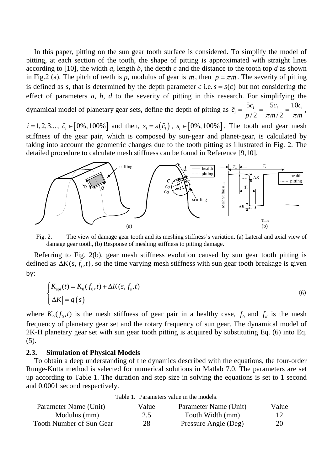In this paper, pitting on the sun gear tooth surface is considered. To simplify the model of pitting, at each section of the tooth, the shape of pitting is approximated with straight lines according to [10], the width *a*, length *b*, the depth *c* and the distance to the tooth top *d* as shown in Fig.2 (a). The pitch of teeth is *p*, modulus of gear is  $\overline{m}$ , then  $p = \pi \overline{m}$ . The severity of pitting is defined as *s*, that is determined by the depth parameter *c* i.e.  $s = s(c)$  but not considering the effect of parameters *a*, *b*, *d* to the severity of pitting in this research. For simplifying the dynamical model of planetary gear sets, define the depth of pitting as  $\tilde{c}_i = \frac{5c_i}{\sqrt{2}} = \frac{5c_i}{\sqrt{2}} = \frac{10}{\sqrt{2}}$  $/2$   $\pi \overline{m}/2$  $i =$   $\frac{Jv_i}{i}$   $\frac{10v_i}{i}$ *i*  $c_i$  5 $c_i$  10 $c$  $\tilde{c}_i = \frac{\partial c_i}{p/2} = \frac{\partial c_i}{\pi \bar{m}/2} = \frac{\partial c_i}{\pi \bar{m}},$ *i* = 1, 2, 3...,  $\tilde{c}_i \in [0\%, 100\%]$  and then,  $s_i = s(\tilde{c}_i)$ ,  $s_i \in [0\%, 100\%]$ . The tooth and gear mesh stiffness of the gear pair, which is composed by sun-gear and planet-gear, is calculated by

taking into account the geometric changes due to the tooth pitting as illustrated in Fig. 2. The



Fig. 2. The view of damage gear tooth and its meshing stiffness's variation. (a) Lateral and axial view of damage gear tooth, (b) Response of meshing stiffness to pitting damage.

Referring to Fig. 2(b), gear mesh stiffness evolution caused by sun gear tooth pitting is defined as  $\Delta K(s, f, t)$ , so the time varying mesh stiffness with sun gear tooth breakage is given by:

$$
\begin{cases}\nK_{\rm spi}(t) = K_0(f_0, t) + \Delta K(s, f_s, t) \\
|\Delta K| = g(s)\n\end{cases}
$$
\n(6)

where  $K_0(f_0,t)$  is the mesh stiffness of gear pair in a healthy case,  $f_0$  and  $f_d$  is the mesh frequency of planetary gear set and the rotary frequency of sun gear. The dynamical model of 2K-H planetary gear set with sun gear tooth pitting is acquired by substituting Eq. (6) into Eq. (5).

## **2.3. Simulation of Physical Models**

To obtain a deep understanding of the dynamics described with the equations, the four-order Runge-Kutta method is selected for numerical solutions in Matlab 7.0. The parameters are set up according to Table 1. The duration and step size in solving the equations is set to 1 second and 0.0001 second respectively.

| Parameter Name (Unit)           | Value | Parameter Name (Unit) | Value |  |  |  |
|---------------------------------|-------|-----------------------|-------|--|--|--|
| Modulus (mm)                    |       | Tooth Width (mm)      |       |  |  |  |
| <b>Tooth Number of Sun Gear</b> | 28    | Pressure Angle (Deg)  |       |  |  |  |
|                                 |       |                       |       |  |  |  |

Table 1. Parameters value in the models.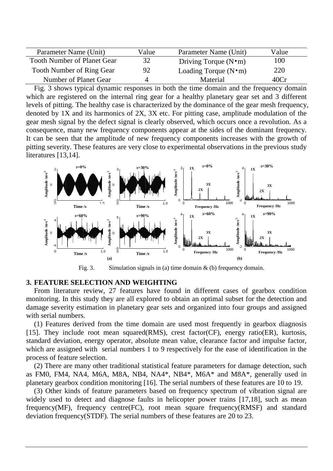| Parameter Name (Unit)              | Value | Parameter Name (Unit)  | Value |
|------------------------------------|-------|------------------------|-------|
| <b>Tooth Number of Planet Gear</b> | 32    | Driving Torque $(N•m)$ | 100   |
| <b>Tooth Number of Ring Gear</b>   | 92    | Loading Torque $(N•m)$ | 220   |
| Number of Planet Gear              | 4     | Material               | 40Cr  |

Fig. 3 shows typical dynamic responses in both the time domain and the frequency domain which are registered on the internal ring gear for a healthy planetary gear set and 3 different levels of pitting. The healthy case is characterized by the dominance of the gear mesh frequency, denoted by 1X and its harmonics of 2X, 3X etc. For pitting case, amplitude modulation of the gear mesh signal by the defect signal is clearly observed, which occurs once a revolution. As a consequence, many new frequency components appear at the sides of the dominant frequency. It can be seen that the amplitude of new frequency components increases with the growth of pitting severity. These features are very close to experimental observations in the previous study literatures [13,14].



Fig. 3. Simulation signals in (a) time domain & (b) frequency domain.

## **3. FEATURE SELECTION AND WEIGHTING**

From literature review, 27 features have found in different cases of gearbox condition monitoring. In this study they are all explored to obtain an optimal subset for the detection and damage severity estimation in planetary gear sets and organized into four groups and assigned with serial numbers.

(1) Features derived from the time domain are used most frequently in gearbox diagnosis [15]. They include root mean squared(RMS), crest factor(CF), energy ratio(ER), kurtosis, standard deviation, energy operator, absolute mean value, clearance factor and impulse factor, which are assigned with serial numbers 1 to 9 respectively for the ease of identification in the process of feature selection.

(2) There are many other traditional statistical feature parameters for damage detection, such as FM0, FM4, NA4, M6A, M8A, NB4, NA4\*, NB4\*, M6A\* and M8A\*, generally used in planetary gearbox condition monitoring [16]. The serial numbers of these features are 10 to 19.

(3) Other kinds of feature parameters based on frequency spectrum of vibration signal are widely used to detect and diagnose faults in helicopter power trains [17,18], such as mean frequency(MF), frequency centre(FC), root mean square frequency(RMSF) and standard deviation frequency(STDF). The serial numbers of these features are 20 to 23.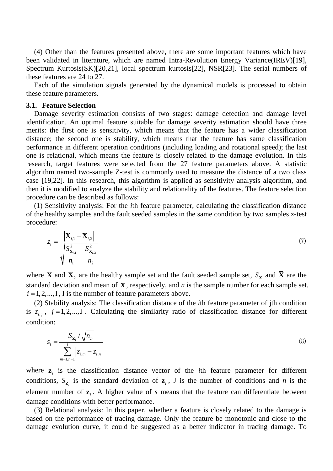(4) Other than the features presented above, there are some important features which have been validated in literature, which are named Intra-Revolution Energy Variance(IREV)[19], Spectrum Kurtosis(SK)[20,21], local spectrum kurtosis[22], NSR[23]. The serial numbers of these features are 24 to 27.

Each of the simulation signals generated by the dynamical models is processed to obtain these feature parameters.

#### **3.1. Feature Selection**

Damage severity estimation consists of two stages: damage detection and damage level identification. An optimal feature suitable for damage severity estimation should have three merits: the first one is sensitivity, which means that the feature has a wider classification distance; the second one is stability, which means that the feature has same classification performance in different operation conditions (including loading and rotational speed); the last one is relational, which means the feature is closely related to the damage evolution. In this research, target features were selected from the 27 feature parameters above. A statistic algorithm named two-sample Z-test is commonly used to measure the distance of a two class case [19,22]. In this research, this algorithm is applied as sensitivity analysis algorithm, and then it is modified to analyze the stability and relationality of the features. The feature selection procedure can be described as follows:

(1) Sensitivity analysis: For the *i*th feature parameter, calculating the classification distance of the healthy samples and the fault seeded samples in the same condition by two samples z-test procedure:

$$
z_{i} = \frac{\left| \overline{\mathbf{X}}_{i,1} - \overline{\mathbf{X}}_{i,2} \right|}{\sqrt{\frac{\mathbf{S}_{\mathbf{X}_{i,1}}^{2}}{n_{1}} + \frac{\mathbf{S}_{\mathbf{X}_{i,2}}^{2}}{n_{2}}}}
$$
(7)

where  $X_1$  and  $X_2$  are the healthy sample set and the fault seeded sample set,  $S_X$  and  $\bar{X}$  are the standard deviation and mean of **X** , respectively, and *n* is the sample number for each sample set.  $i = 1, 2, \dots, I$ , I is the number of feature parameters above.

(2) Stability analysis: The classification distance of the *i*th feature parameter of jth condition is  $z_{i,j}$ ,  $j = 1, 2, \dots, J$ . Calculating the similarity ratio of classification distance for different condition:

$$
s_i = \frac{S_{\mathbf{Z}_i} / \sqrt{n_{z_i}}}{\sum_{m=1, n=1}^{J} |z_{i,m} - z_{i,n}|}
$$
(8)

where  $z_i$  is the classification distance vector of the *i*th feature parameter for different conditions,  $S_{\mathbf{z}}$  is the standard deviation of  $\mathbf{z}_i$ , J is the number of conditions and *n* is the element number of  $z_i$ . A higher value of *s* means that the feature can differentiate between damage conditions with better performance.

(3) Relational analysis: In this paper, whether a feature is closely related to the damage is based on the performance of tracing damage. Only the feature be monotonic and close to the damage evolution curve, it could be suggested as a better indicator in tracing damage. To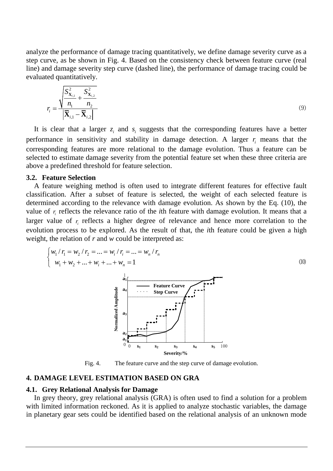analyze the performance of damage tracing quantitatively, we define damage severity curve as a step curve, as be shown in Fig. 4. Based on the consistency check between feature curve (real line) and damage severity step curve (dashed line), the performance of damage tracing could be evaluated quantitatively.

$$
r_{i} = \frac{\sqrt{\frac{S_{\mathbf{x}_{i,1}}^{2}}{n_{1}} + \frac{S_{\mathbf{x}_{i,2}}^{2}}{n_{2}}}}{\left|\overline{\mathbf{x}}_{i,1} - \overline{\mathbf{x}}_{i,2}\right|}
$$
(9)

It is clear that a larger  $z_i$  and  $s_j$  suggests that the corresponding features have a better performance in sensitivity and stability in damage detection. A larger  $r<sub>i</sub>$  means that the corresponding features are more relational to the damage evolution. Thus a feature can be selected to estimate damage severity from the potential feature set when these three criteria are above a predefined threshold for feature selection.

### **3.2. Feature Selection**

A feature weighing method is often used to integrate different features for effective fault classification. After a subset of feature is selected, the weight of each selected feature is determined according to the relevance with damage evolution. As shown by the Eq. (10), the value of  $r_i$  reflects the relevance ratio of the *i*th feature with damage evolution. It means that a larger value of  $r<sub>i</sub>$  reflects a higher degree of relevance and hence more correlation to the evolution process to be explored. As the result of that, the *i*th feature could be given a high weight, the relation of *r* and *w* could be interpreted as:

$$
\begin{cases}\nw_1 / r_1 = w_2 / r_2 = \dots = w_i / r_i = \dots = w_n / r_n \\
w_1 + w_2 + \dots + w_i + \dots + w_n = 1\n\end{cases}
$$
\n(10)  
\n
$$
\frac{1}{a_5}
$$
\n
$$
\frac{1}{a_4}
$$
\n
$$
\frac{1}{\dots}
$$
\n
$$
\frac{1}{b_5}
$$
\n(11)  
\n
$$
\frac{1}{a_5}
$$
\n
$$
\frac{1}{b_5}
$$
\n
$$
\frac{1}{b_5}
$$
\n
$$
\frac{1}{b_5}
$$
\n
$$
\frac{1}{b_5}
$$
\n
$$
\frac{1}{b_5}
$$
\n
$$
\frac{1}{b_5}
$$
\n
$$
\frac{1}{b_5}
$$
\n
$$
\frac{1}{b_5}
$$
\n
$$
\frac{1}{b_5}
$$
\n
$$
\frac{1}{b_5}
$$
\n
$$
\frac{1}{b_5}
$$
\n
$$
\frac{1}{b_5}
$$
\n
$$
\frac{1}{b_5}
$$
\n
$$
\frac{1}{b_5}
$$
\n
$$
\frac{1}{b_5}
$$
\n
$$
\frac{1}{b_5}
$$
\n
$$
\frac{1}{b_5}
$$
\n
$$
\frac{1}{b_5}
$$
\n
$$
\frac{1}{b_5}
$$
\n
$$
\frac{1}{b_5}
$$
\n
$$
\frac{1}{b_5}
$$
\n
$$
\frac{1}{b_5}
$$
\n
$$
\frac{1}{b_5}
$$
\n
$$
\frac{1}{b_5}
$$
\n
$$
\frac{1}{b_5}
$$
\n
$$
\frac{1}{b_5}
$$
\n
$$
\frac{1}{b_5}
$$
\n
$$
\frac{1}{b_5}
$$
\n
$$
\frac{1}{b_5}
$$
\n
$$
\frac{1}{b_5}
$$
\n
$$
\frac{1}{b_5}
$$
\n
$$
\frac{1}{b_5}
$$
\n
$$
\frac{1}{b_5}
$$
\n
$$
\frac{1}{b_5}
$$
\n
$$
\frac{1}{b_5}
$$

Fig. 4. The feature curve and the step curve of damage evolution.

# **4. DAMAGE LEVEL ESTIMATION BASED ON GRA**

## **4.1. Grey Relational Analysis for Damage**

In grey theory, grey relational analysis (GRA) is often used to find a solution for a problem with limited information reckoned. As it is applied to analyze stochastic variables, the damage in planetary gear sets could be identified based on the relational analysis of an unknown mode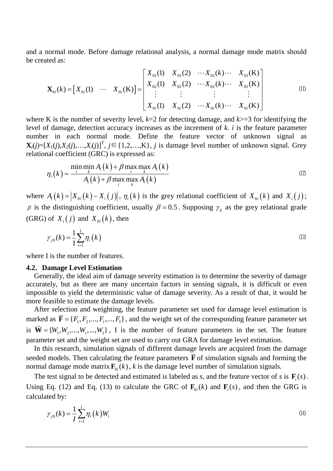and a normal mode. Before damage relational analysis, a normal damage mode matrix should be created as:

$$
\mathbf{X}_{0i}(k) = [X_{0i}(1) \cdots X_{0i}(K)] = \begin{bmatrix} X_{01}(1) & X_{01}(2) & \cdots X_{01}(k) \cdots & X_{01}(K) \\ X_{02}(1) & X_{02}(2) & \cdots X_{02}(k) \cdots & X_{02}(K) \\ \vdots & \vdots & \vdots & \vdots \\ X_{0i}(1) & X_{0i}(2) & \cdots X_{0i}(k) \cdots & X_{0i}(K) \end{bmatrix}
$$
(1)

where K is the number of severity level,  $k=2$  for detecting damage, and  $k>=3$  for identifying the level of damage, detection accuracy increases as the increment of *k*. *i* is the feature parameter number in each normal mode. Define the feature vector of unknown signal as  $\mathbf{X}_i(j)=[X_1(j),X_2(j),\ldots,X_i(j)]^T$ ,  $j \in \{1,2,\ldots,K\}$ , *j* is damage level number of unknown signal. Grey relational coefficient (GRC) is expressed as:

$$
\eta_i(k) = \frac{\min_{i} \min_{k} A_i(k) + \beta \max_{i} \max_{k} A_i(k)}{A_i(k) + \beta \max_{i} \max_{k} A_i(k)}
$$
(12)

where  $A_i(k) = |X_{0i}(k) - X_i(j)|$ ,  $\eta_i(k)$  is the grey relational coefficient of  $X_{0i}(k)$  and  $X_i(j)$ ; β is the distinguishing coefficient, usually  $β = 0.5$ . Supposing  $γ_{ij}$  as the grey relational grade (GRG) of  $X_i(j)$  and  $X_{0i}(k)$ , then

$$
\gamma_{j0}(k) = \frac{1}{I} \sum_{i=1}^{I} \eta_i(k)
$$
\n<sup>(13)</sup>

where I is the number of features.

#### **4.2. Damage Level Estimation**

Generally, the ideal aim of damage severity estimation is to determine the severity of damage accurately, but as there are many uncertain factors in sensing signals, it is difficult or even impossible to yield the deterministic value of damage severity. As a result of that, it would be more feasible to estimate the damage levels.

After selection and weighting, the feature parameter set used for damage level estimation is marked as  $\overline{\mathbf{F}} = \{F_1, F_2, ..., F_i, ..., F_{\text{I}}\}$ , and the weight set of the corresponding feature parameter set is  $\overline{\mathbf{W}} = \{W_1, W_2, ..., W_i, ..., W_l\}$ , I is the number of feature parameters in the set. The feature parameter set and the weight set are used to carry out GRA for damage level estimation.

In this research, simulation signals of different damage levels are acquired from the damage seeded models. Then calculating the feature parameters  $\overline{F}$  of simulation signals and forming the normal damage mode matrix  $\mathbf{F}_{0i}(k)$ , k is the damage level number of simulation signals.

The test signal to be detected and estimated is labeled as  $s$ , and the feature vector of  $s$  is  $\mathbf{F}_i(s)$ . Using Eq. (12) and Eq. (13) to calculate the GRC of  $\mathbf{F}_{0i}(k)$  and  $\mathbf{F}_{i}(s)$ , and then the GRG is calculated by:

$$
\gamma_{j0}(k) = \frac{1}{I} \sum_{i=1}^{I} \eta_i(k) W_i
$$
\n(14)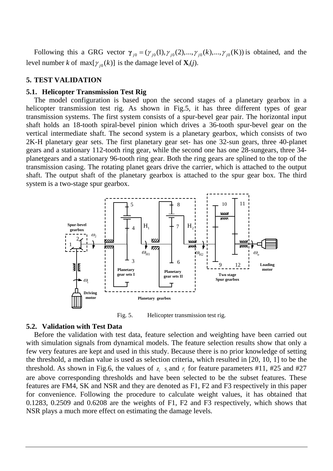Following this a GRG vector  $\gamma_{j0} = (\gamma_{j0}(1), \gamma_{j0}(2),..., \gamma_{j0}(k),..., \gamma_{j0}(K))$  is obtained, and the level number *k* of max[ $\gamma_{i0}(k)$ ] is the damage level of  $\mathbf{X}_i(j)$ .

## **5. TEST VALIDATION**

## **5.1. Helicopter Transmission Test Rig**

The model configuration is based upon the second stages of a planetary gearbox in a helicopter transmission test rig. As shown in Fig.5, it has three different types of gear transmission systems. The first system consists of a spur-bevel gear pair. The horizontal input shaft holds an 18-tooth spiral-bevel pinion which drives a 36-tooth spur-bevel gear on the vertical intermediate shaft. The second system is a planetary gearbox, which consists of two 2K-H planetary gear sets. The first planetary gear set- has one 32-sun gears, three 40-planet gears and a stationary 112-tooth ring gear, while the second one has one 28-sungears, three 34 planetgears and a stationary 96-tooth ring gear. Both the ring gears are splined to the top of the transmission casing. The rotating planet gears drive the carrier, which is attached to the output shaft. The output shaft of the planetary gearbox is attached to the spur gear box. The third system is a two-stage spur gearbox.



Fig. 5. Helicopter transmission test rig.

#### **5.2. Validation with Test Data**

Before the validation with test data, feature selection and weighting have been carried out with simulation signals from dynamical models. The feature selection results show that only a few very features are kept and used in this study. Because there is no prior knowledge of setting the threshold, a median value is used as selection criteria, which resulted in [20, 10, 1] to be the threshold. As shown in Fig.6, the values of  $z_i$   $s_i$  and  $r_i$  for feature parameters #11, #25 and #27 are above corresponding thresholds and have been selected to be the subset features. These features are FM4, SK and NSR and they are denoted as F1, F2 and F3 respectively in this paper for convenience. Following the procedure to calculate weight values, it has obtained that 0.1283, 0.2509 and 0.6208 are the weights of F1, F2 and F3 respectively, which shows that NSR plays a much more effect on estimating the damage levels.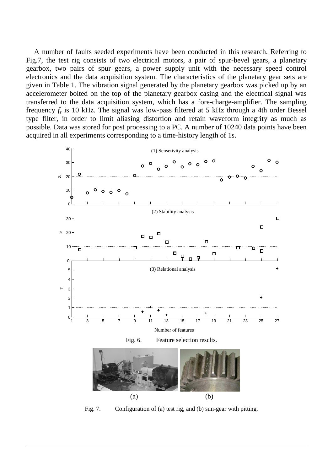A number of faults seeded experiments have been conducted in this research. Referring to Fig.7, the test rig consists of two electrical motors, a pair of spur-bevel gears, a planetary gearbox, two pairs of spur gears, a power supply unit with the necessary speed control electronics and the data acquisition system. The characteristics of the planetary gear sets are given in Table 1. The vibration signal generated by the planetary gearbox was picked up by an accelerometer bolted on the top of the planetary gearbox casing and the electrical signal was transferred to the data acquisition system, which has a fore-charge-amplifier. The sampling frequency  $f_s$  is 10 kHz. The signal was low-pass filtered at 5 kHz through a 4th order Bessel type filter, in order to limit aliasing distortion and retain waveform integrity as much as possible. Data was stored for post processing to a PC. A number of 10240 data points have been acquired in all experiments corresponding to a time-history length of 1s.



Fig. 7. Configuration of (a) test rig, and (b) sun-gear with pitting.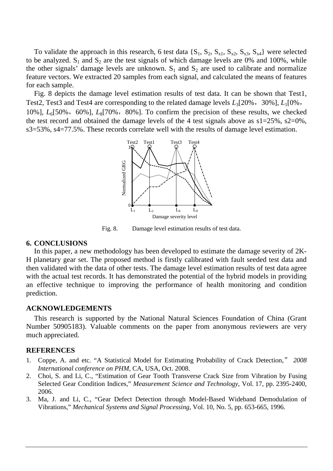To validate the approach in this research, 6 test data  $\{S_1, S_2, S_{x1}, S_{x2}, S_{x3}, S_{x4}\}$  were selected to be analyzed.  $S_1$  and  $S_2$  are the test signals of which damage levels are 0% and 100%, while the other signals' damage levels are unknown.  $S_1$  and  $S_2$  are used to calibrate and normalize feature vectors. We extracted 20 samples from each signal, and calculated the means of features for each sample.

Fig. 8 depicts the damage level estimation results of test data. It can be shown that Test1, Test2, Test3 and Test4 are corresponding to the related damage levels *L*3[20%,30%], *L*1[0%, 10%],  $L_6[50\%$ , 60%],  $L_8[70\%$ , 80%]. To confirm the precision of these results, we checked the test record and obtained the damage levels of the 4 test signals above as  $s1=25\%$ ,  $s2=0\%$ , s3=53%, s4=77.5%. These records correlate well with the results of damage level estimation.



Fig. 8. Damage level estimation results of test data.

#### **6. CONCLUSIONS**

In this paper, a new methodology has been developed to estimate the damage severity of 2K-H planetary gear set. The proposed method is firstly calibrated with fault seeded test data and then validated with the data of other tests. The damage level estimation results of test data agree with the actual test records. It has demonstrated the potential of the hybrid models in providing an effective technique to improving the performance of health monitoring and condition prediction.

#### **ACKNOWLEDGEMENTS**

This research is supported by the National Natural Sciences Foundation of China (Grant Number 50905183). Valuable comments on the paper from anonymous reviewers are very much appreciated.

#### **REFERENCES**

- 1. Coppe, A. and etc. "A Statistical Model for Estimating Probability of Crack Detection," *2008 International conference on PHM*, CA, USA, Oct. 2008.
- 2. Choi, S. and Li, C., "Estimation of Gear Tooth Transverse Crack Size from Vibration by Fusing Selected Gear Condition Indices," *Measurement Science and Technology*, Vol. 17, pp. 2395-2400, 2006.
- 3. Ma, J. and Li, C., "Gear Defect Detection through Model-Based Wideband Demodulation of Vibrations," *Mechanical Systems and Signal Processing*, Vol. 10, No. 5, pp. 653-665, 1996.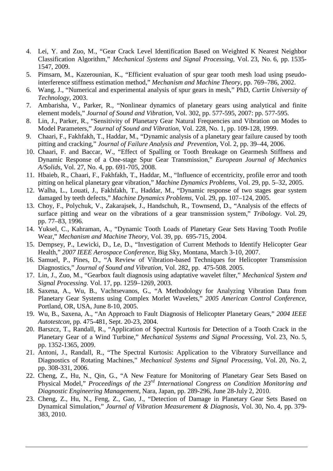- 4. Lei, Y. and Zuo, M., "Gear Crack Level Identification Based on Weighted K Nearest Neighbor Classification Algorithm," *Mechanical Systems and Signal Processing*, Vol. 23, No. 6, pp. 1535- 1547, 2009.
- 5. Pimsarn, M., Kazerounian, K., "Efficient evaluation of spur gear tooth mesh load using pseudointerference stiffness estimation method," *Mechanism and Machine Theory*, pp. 769–786, 2002.
- 6. Wang, J., "Numerical and experimental analysis of spur gears in mesh," PhD, *Curtin University of Technology*, 2003.
- 7. Ambarisha, V., Parker, R., "Nonlinear dynamics of planetary gears using analytical and finite element models," *Journal of Sound and Vibration*, Vol. 302, pp. 577-595, 2007: pp. 577-595.
- 8. Lin, J., Parker, R., "Sensitivity of Planetary Gear Natural Frequencies and Vibration on Modes to Model Parameters," *Journal of Sound and Vibration*, Vol. 228, No. 1, pp. 109-128, 1999.
- 9. Chaari, F., Fakhfakh, T., Haddar, M., "Dynamic analysis of a planetary gear failure caused by tooth pitting and cracking," *Journal of Failure Analysis and Prevention*, Vol. 2, pp. 39–44, 2006.
- 10. Chaari, F. and Baccar, W., "Effect of Spalling or Tooth Breakage on Gearmesh Stiffness and Dynamic Response of a One-stage Spur Gear Transmission," *European Journal of Mechanics A/Solids*, Vol. 27, No. 4, pp. 691-705, 2008.
- 11. Hbaieb, R., Chaari, F., Fakhfakh, T., Haddar, M., "Influence of eccentricity, profile error and tooth pitting on helical planetary gear vibration," *Machine Dynamics Problems,* Vol. 29, pp. 5–32, 2005.
- 12. Walha, L., Louati, J., Fakhfakh, T., Haddar, M., "Dynamic response of two stages gear system damaged by teeth defects," *Machine Dynamics Problems,* Vol. 29, pp. 107–124, 2005.
- 13. Choy, F., Polychuk, V., Zakarajsek, J., Handschuh, R., Townsend, D., "Analysis of the effects of surface pitting and wear on the vibrations of a gear transmission system," *Tribology*. Vol. 29, pp. 77–83, 1996.
- 14. Yuksel, C., Kahraman, A., "Dynamic Tooth Loads of Planetary Gear Sets Having Tooth Profile Wear," *Mechanism and Machine Theory*, Vol. 39, pp. 695-715, 2004.
- 15. Dempsey, P., Lewicki, D., Le, D., "Investigation of Current Methods to Identify Helicopter Gear Health," *2007 IEEE Aerospace Conference*, Big Sky, Montana, March 3-10, 2007.
- 16. Samuel, P., Pines, D., "A Review of Vibration-based Techniques for Helicopter Transmission Diagnostics," *Journal of Sound and Vibration*, Vol. 282, pp. 475-508. 2005.
- 17. Lin, J., Zuo, M., "Gearbox fault diagnosis using adaptative wavelet filter," *Mechanical System and Signal Processing*. Vol. 17, pp. 1259–1269, 2003.
- 18. Saxena, A., Wu, B., Vachtsevanos, G., "A Methodology for Analyzing Vibration Data from Planetary Gear Systems using Complex Morlet Wavelets," *2005 American Control Conference*, Portland, OR, USA, June 8-10, 2005.
- 19. Wu, B., Saxena, A., "An Approach to Fault Diagnosis of Helicopter Planetary Gears," *2004 IEEE Autotestcon*, pp. 475-481, Sept. 20-23, 2004.
- 20. Barszcz, T., Randall, R., "Application of Spectral Kurtosis for Detection of a Tooth Crack in the Planetary Gear of a Wind Turbine," *Mechanical Systems and Signal Processing*, Vol. 23, No. 5, pp. 1352-1365, 2009.
- 21. Antoni, J., Randall, R., "The Spectral Kurtosis: Application to the Vibratory Surveillance and Diagnostics of Rotating Machines," *Mechanical Systems and Signal Processing*, Vol. 20, No. 2, pp. 308-331, 2006.
- 22. Cheng, Z., Hu, N., Qin, G., "A New Feature for Monitoring of Planetary Gear Sets Based on Physical Model," *Proceedings of the 23rd International Congress on Condition Monitoring and Diagnostic Engineering Management*, Nara, Japan, pp. 289-296, June 28-July 2, 2010.
- 23. Cheng, Z., Hu, N., Feng, Z., Gao, J., "Detection of Damage in Planetary Gear Sets Based on Dynamical Simulation," *Journal of Vibration Measurement & Diagnosis*, Vol. 30, No. 4, pp. 379- 383, 2010.